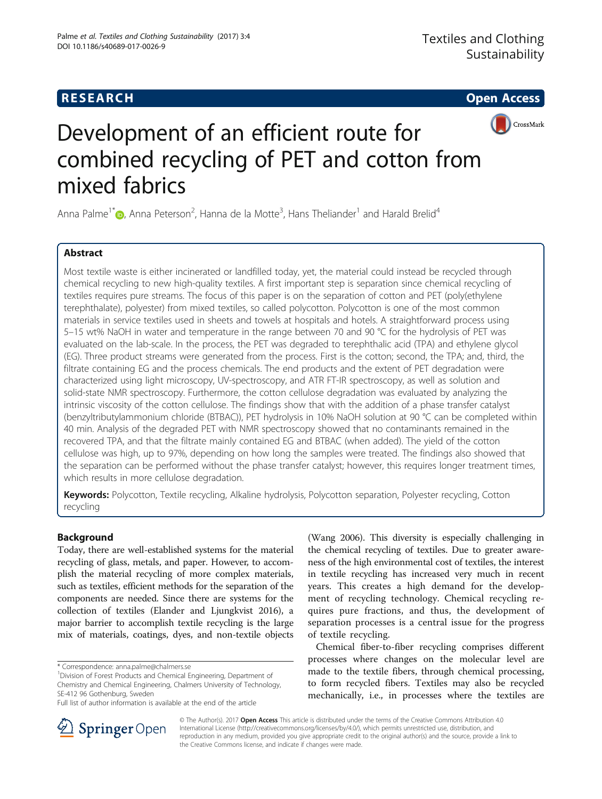## **RESEARCH CHE Open Access**



# Development of an efficient route for combined recycling of PET and cotton from mixed fabrics

Anna Palme<sup>1\*</sup>®[,](http://orcid.org/0000-0001-5276-2830) Anna Peterson<sup>2</sup>, Hanna de la Motte<sup>3</sup>, Hans Theliander<sup>1</sup> and Harald Brelid<sup>4</sup>

## Abstract

Most textile waste is either incinerated or landfilled today, yet, the material could instead be recycled through chemical recycling to new high-quality textiles. A first important step is separation since chemical recycling of textiles requires pure streams. The focus of this paper is on the separation of cotton and PET (poly(ethylene terephthalate), polyester) from mixed textiles, so called polycotton. Polycotton is one of the most common materials in service textiles used in sheets and towels at hospitals and hotels. A straightforward process using 5–15 wt% NaOH in water and temperature in the range between 70 and 90 °C for the hydrolysis of PET was evaluated on the lab-scale. In the process, the PET was degraded to terephthalic acid (TPA) and ethylene glycol (EG). Three product streams were generated from the process. First is the cotton; second, the TPA; and, third, the filtrate containing EG and the process chemicals. The end products and the extent of PET degradation were characterized using light microscopy, UV-spectroscopy, and ATR FT-IR spectroscopy, as well as solution and solid-state NMR spectroscopy. Furthermore, the cotton cellulose degradation was evaluated by analyzing the intrinsic viscosity of the cotton cellulose. The findings show that with the addition of a phase transfer catalyst (benzyltributylammonium chloride (BTBAC)), PET hydrolysis in 10% NaOH solution at 90 °C can be completed within 40 min. Analysis of the degraded PET with NMR spectroscopy showed that no contaminants remained in the recovered TPA, and that the filtrate mainly contained EG and BTBAC (when added). The yield of the cotton cellulose was high, up to 97%, depending on how long the samples were treated. The findings also showed that the separation can be performed without the phase transfer catalyst; however, this requires longer treatment times, which results in more cellulose degradation.

Keywords: Polycotton, Textile recycling, Alkaline hydrolysis, Polycotton separation, Polyester recycling, Cotton recycling

## Background

Today, there are well-established systems for the material recycling of glass, metals, and paper. However, to accomplish the material recycling of more complex materials, such as textiles, efficient methods for the separation of the components are needed. Since there are systems for the collection of textiles (Elander and Ljungkvist [2016](#page-8-0)), a major barrier to accomplish textile recycling is the large mix of materials, coatings, dyes, and non-textile objects

<sup>1</sup> Division of Forest Products and Chemical Engineering, Department of Chemistry and Chemical Engineering, Chalmers University of Technology, SE-412 96 Gothenburg, Sweden

(Wang [2006\)](#page-8-0). This diversity is especially challenging in the chemical recycling of textiles. Due to greater awareness of the high environmental cost of textiles, the interest in textile recycling has increased very much in recent years. This creates a high demand for the development of recycling technology. Chemical recycling requires pure fractions, and thus, the development of separation processes is a central issue for the progress of textile recycling.

Chemical fiber-to-fiber recycling comprises different processes where changes on the molecular level are made to the textile fibers, through chemical processing, to form recycled fibers. Textiles may also be recycled mechanically, i.e., in processes where the textiles are



© The Author(s). 2017 **Open Access** This article is distributed under the terms of the Creative Commons Attribution 4.0 International License ([http://creativecommons.org/licenses/by/4.0/\)](http://creativecommons.org/licenses/by/4.0/), which permits unrestricted use, distribution, and reproduction in any medium, provided you give appropriate credit to the original author(s) and the source, provide a link to the Creative Commons license, and indicate if changes were made.

<sup>\*</sup> Correspondence: [anna.palme@chalmers.se](mailto:anna.palme@chalmers.se) <sup>1</sup>

Full list of author information is available at the end of the article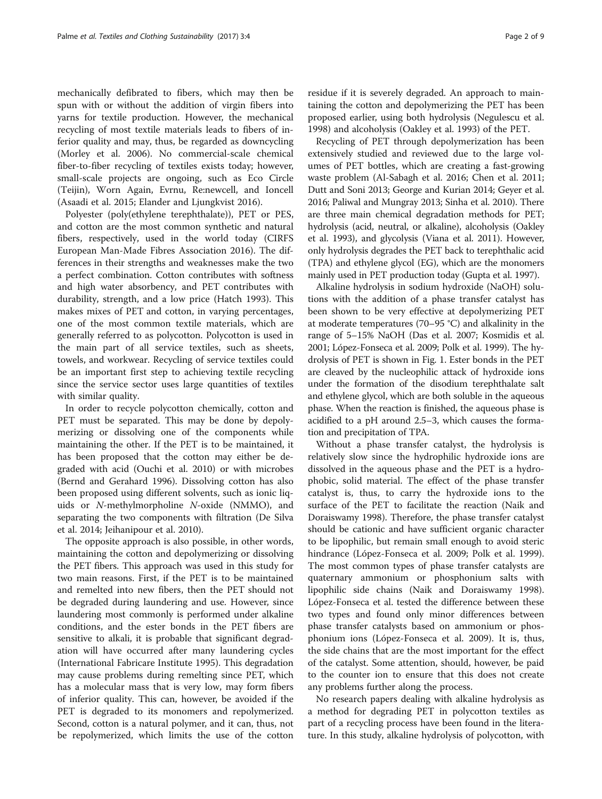mechanically defibrated to fibers, which may then be spun with or without the addition of virgin fibers into yarns for textile production. However, the mechanical recycling of most textile materials leads to fibers of inferior quality and may, thus, be regarded as downcycling (Morley et al. [2006](#page-8-0)). No commercial-scale chemical fiber-to-fiber recycling of textiles exists today; however, small-scale projects are ongoing, such as Eco Circle (Teijin), Worn Again, Evrnu, Re:newcell, and Ioncell (Asaadi et al. [2015](#page-8-0); Elander and Ljungkvist [2016\)](#page-8-0).

Polyester (poly(ethylene terephthalate)), PET or PES, and cotton are the most common synthetic and natural fibers, respectively, used in the world today (CIRFS European Man-Made Fibres Association [2016\)](#page-8-0). The differences in their strengths and weaknesses make the two a perfect combination. Cotton contributes with softness and high water absorbency, and PET contributes with durability, strength, and a low price (Hatch [1993](#page-8-0)). This makes mixes of PET and cotton, in varying percentages, one of the most common textile materials, which are generally referred to as polycotton. Polycotton is used in the main part of all service textiles, such as sheets, towels, and workwear. Recycling of service textiles could be an important first step to achieving textile recycling since the service sector uses large quantities of textiles with similar quality.

In order to recycle polycotton chemically, cotton and PET must be separated. This may be done by depolymerizing or dissolving one of the components while maintaining the other. If the PET is to be maintained, it has been proposed that the cotton may either be degraded with acid (Ouchi et al. [2010](#page-8-0)) or with microbes (Bernd and Gerahard [1996](#page-8-0)). Dissolving cotton has also been proposed using different solvents, such as ionic liquids or N-methylmorpholine N-oxide (NMMO), and separating the two components with filtration (De Silva et al. [2014;](#page-8-0) Jeihanipour et al. [2010](#page-8-0)).

The opposite approach is also possible, in other words, maintaining the cotton and depolymerizing or dissolving the PET fibers. This approach was used in this study for two main reasons. First, if the PET is to be maintained and remelted into new fibers, then the PET should not be degraded during laundering and use. However, since laundering most commonly is performed under alkaline conditions, and the ester bonds in the PET fibers are sensitive to alkali, it is probable that significant degradation will have occurred after many laundering cycles (International Fabricare Institute [1995](#page-8-0)). This degradation may cause problems during remelting since PET, which has a molecular mass that is very low, may form fibers of inferior quality. This can, however, be avoided if the PET is degraded to its monomers and repolymerized. Second, cotton is a natural polymer, and it can, thus, not be repolymerized, which limits the use of the cotton residue if it is severely degraded. An approach to maintaining the cotton and depolymerizing the PET has been proposed earlier, using both hydrolysis (Negulescu et al. [1998](#page-8-0)) and alcoholysis (Oakley et al. [1993\)](#page-8-0) of the PET.

Recycling of PET through depolymerization has been extensively studied and reviewed due to the large volumes of PET bottles, which are creating a fast-growing waste problem (Al-Sabagh et al. [2016](#page-8-0); Chen et al. [2011](#page-8-0); Dutt and Soni [2013;](#page-8-0) George and Kurian [2014;](#page-8-0) Geyer et al. [2016;](#page-8-0) Paliwal and Mungray [2013;](#page-8-0) Sinha et al. [2010\)](#page-8-0). There are three main chemical degradation methods for PET; hydrolysis (acid, neutral, or alkaline), alcoholysis (Oakley et al. [1993](#page-8-0)), and glycolysis (Viana et al. [2011\)](#page-8-0). However, only hydrolysis degrades the PET back to terephthalic acid (TPA) and ethylene glycol (EG), which are the monomers mainly used in PET production today (Gupta et al. [1997\)](#page-8-0).

Alkaline hydrolysis in sodium hydroxide (NaOH) solutions with the addition of a phase transfer catalyst has been shown to be very effective at depolymerizing PET at moderate temperatures (70–95 °C) and alkalinity in the range of 5–15% NaOH (Das et al. [2007;](#page-8-0) Kosmidis et al. [2001;](#page-8-0) López-Fonseca et al. [2009](#page-8-0); Polk et al. [1999\)](#page-8-0). The hydrolysis of PET is shown in Fig. [1.](#page-2-0) Ester bonds in the PET are cleaved by the nucleophilic attack of hydroxide ions under the formation of the disodium terephthalate salt and ethylene glycol, which are both soluble in the aqueous phase. When the reaction is finished, the aqueous phase is acidified to a pH around 2.5–3, which causes the formation and precipitation of TPA.

Without a phase transfer catalyst, the hydrolysis is relatively slow since the hydrophilic hydroxide ions are dissolved in the aqueous phase and the PET is a hydrophobic, solid material. The effect of the phase transfer catalyst is, thus, to carry the hydroxide ions to the surface of the PET to facilitate the reaction (Naik and Doraiswamy [1998\)](#page-8-0). Therefore, the phase transfer catalyst should be cationic and have sufficient organic character to be lipophilic, but remain small enough to avoid steric hindrance (López-Fonseca et al. [2009](#page-8-0); Polk et al. [1999](#page-8-0)). The most common types of phase transfer catalysts are quaternary ammonium or phosphonium salts with lipophilic side chains (Naik and Doraiswamy [1998](#page-8-0)). López-Fonseca et al. tested the difference between these two types and found only minor differences between phase transfer catalysts based on ammonium or phosphonium ions (López-Fonseca et al. [2009](#page-8-0)). It is, thus, the side chains that are the most important for the effect of the catalyst. Some attention, should, however, be paid to the counter ion to ensure that this does not create any problems further along the process.

No research papers dealing with alkaline hydrolysis as a method for degrading PET in polycotton textiles as part of a recycling process have been found in the literature. In this study, alkaline hydrolysis of polycotton, with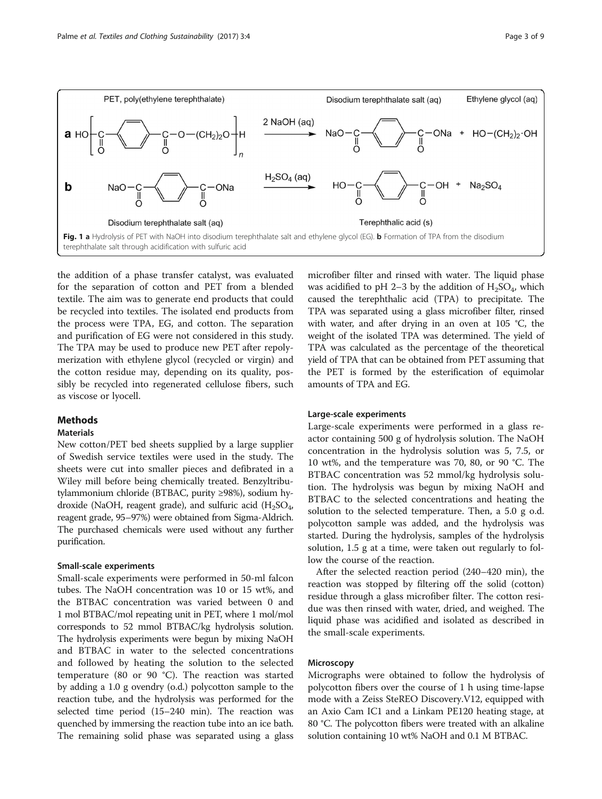<span id="page-2-0"></span>

the addition of a phase transfer catalyst, was evaluated for the separation of cotton and PET from a blended textile. The aim was to generate end products that could be recycled into textiles. The isolated end products from the process were TPA, EG, and cotton. The separation and purification of EG were not considered in this study. The TPA may be used to produce new PET after repolymerization with ethylene glycol (recycled or virgin) and the cotton residue may, depending on its quality, possibly be recycled into regenerated cellulose fibers, such as viscose or lyocell.

#### Methods

## **Materials**

New cotton/PET bed sheets supplied by a large supplier of Swedish service textiles were used in the study. The sheets were cut into smaller pieces and defibrated in a Wiley mill before being chemically treated. Benzyltributylammonium chloride (BTBAC, purity ≥98%), sodium hydroxide (NaOH, reagent grade), and sulfuric acid  $(H_2SO_4)$ , reagent grade, 95–97%) were obtained from Sigma-Aldrich. The purchased chemicals were used without any further purification.

#### Small-scale experiments

Small-scale experiments were performed in 50-ml falcon tubes. The NaOH concentration was 10 or 15 wt%, and the BTBAC concentration was varied between 0 and 1 mol BTBAC/mol repeating unit in PET, where 1 mol/mol corresponds to 52 mmol BTBAC/kg hydrolysis solution. The hydrolysis experiments were begun by mixing NaOH and BTBAC in water to the selected concentrations and followed by heating the solution to the selected temperature (80 or 90 °C). The reaction was started by adding a 1.0 g ovendry (o.d.) polycotton sample to the reaction tube, and the hydrolysis was performed for the selected time period (15–240 min). The reaction was quenched by immersing the reaction tube into an ice bath. The remaining solid phase was separated using a glass

microfiber filter and rinsed with water. The liquid phase was acidified to pH 2–3 by the addition of  $H_2SO_4$ , which caused the terephthalic acid (TPA) to precipitate. The TPA was separated using a glass microfiber filter, rinsed with water, and after drying in an oven at 105 °C, the weight of the isolated TPA was determined. The yield of TPA was calculated as the percentage of the theoretical yield of TPA that can be obtained from PET assuming that the PET is formed by the esterification of equimolar amounts of TPA and EG.

#### Large-scale experiments

Large-scale experiments were performed in a glass reactor containing 500 g of hydrolysis solution. The NaOH concentration in the hydrolysis solution was 5, 7.5, or 10 wt%, and the temperature was 70, 80, or 90 °C. The BTBAC concentration was 52 mmol/kg hydrolysis solution. The hydrolysis was begun by mixing NaOH and BTBAC to the selected concentrations and heating the solution to the selected temperature. Then, a 5.0 g o.d. polycotton sample was added, and the hydrolysis was started. During the hydrolysis, samples of the hydrolysis solution, 1.5 g at a time, were taken out regularly to follow the course of the reaction.

After the selected reaction period (240–420 min), the reaction was stopped by filtering off the solid (cotton) residue through a glass microfiber filter. The cotton residue was then rinsed with water, dried, and weighed. The liquid phase was acidified and isolated as described in the small-scale experiments.

#### Microscopy

Micrographs were obtained to follow the hydrolysis of polycotton fibers over the course of 1 h using time-lapse mode with a Zeiss SteREO Discovery.V12, equipped with an Axio Cam IC1 and a Linkam PE120 heating stage, at 80 °C. The polycotton fibers were treated with an alkaline solution containing 10 wt% NaOH and 0.1 M BTBAC.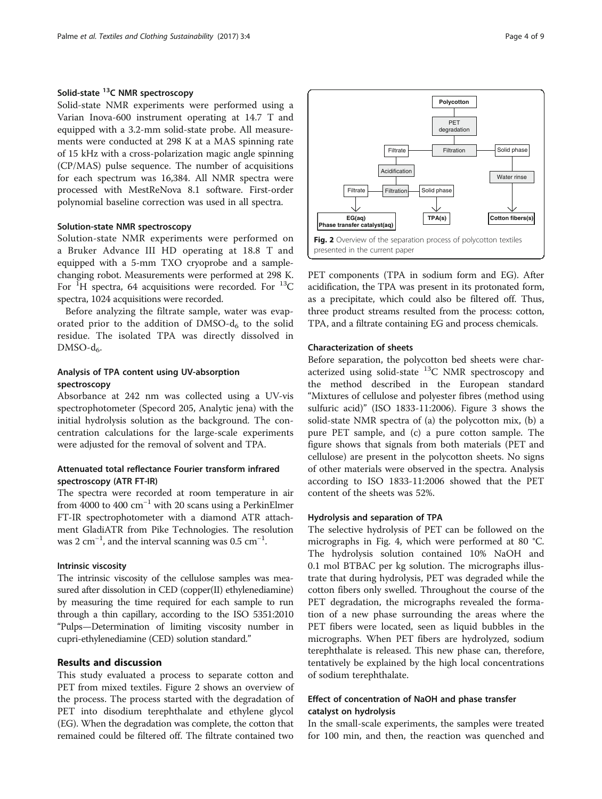## <span id="page-3-0"></span>Solid-state 13C NMR spectroscopy

Solid-state NMR experiments were performed using a Varian Inova-600 instrument operating at 14.7 T and equipped with a 3.2-mm solid-state probe. All measurements were conducted at 298 K at a MAS spinning rate of 15 kHz with a cross-polarization magic angle spinning (CP/MAS) pulse sequence. The number of acquisitions for each spectrum was 16,384. All NMR spectra were processed with MestReNova 8.1 software. First-order polynomial baseline correction was used in all spectra.

#### Solution-state NMR spectroscopy

Solution-state NMR experiments were performed on a Bruker Advance III HD operating at 18.8 T and equipped with a 5-mm TXO cryoprobe and a samplechanging robot. Measurements were performed at 298 K. For  $^{1}$ H spectra, 64 acquisitions were recorded. For  $^{13}$ C spectra, 1024 acquisitions were recorded.

Before analyzing the filtrate sample, water was evaporated prior to the addition of DMSO- $d_6$  to the solid residue. The isolated TPA was directly dissolved in  $DMSO-d<sub>6</sub>$ .

## Analysis of TPA content using UV-absorption spectroscopy

Absorbance at 242 nm was collected using a UV-vis spectrophotometer (Specord 205, Analytic jena) with the initial hydrolysis solution as the background. The concentration calculations for the large-scale experiments were adjusted for the removal of solvent and TPA.

## Attenuated total reflectance Fourier transform infrared spectroscopy (ATR FT-IR)

The spectra were recorded at room temperature in air from 4000 to 400  $\text{cm}^{-1}$  with 20 scans using a PerkinElmer FT-IR spectrophotometer with a diamond ATR attachment GladiATR from Pike Technologies. The resolution was 2 cm<sup>-1</sup>, and the interval scanning was  $0.5$  cm<sup>-1</sup>.

### Intrinsic viscosity

The intrinsic viscosity of the cellulose samples was measured after dissolution in CED (copper(II) ethylenediamine) by measuring the time required for each sample to run through a thin capillary, according to the ISO 5351:2010 "Pulps—Determination of limiting viscosity number in cupri-ethylenediamine (CED) solution standard."

## Results and discussion

This study evaluated a process to separate cotton and PET from mixed textiles. Figure 2 shows an overview of the process. The process started with the degradation of PET into disodium terephthalate and ethylene glycol (EG). When the degradation was complete, the cotton that remained could be filtered off. The filtrate contained two

![](_page_3_Figure_14.jpeg)

PET components (TPA in sodium form and EG). After acidification, the TPA was present in its protonated form, as a precipitate, which could also be filtered off. Thus, three product streams resulted from the process: cotton, TPA, and a filtrate containing EG and process chemicals.

#### Characterization of sheets

Before separation, the polycotton bed sheets were characterized using solid-state  $^{13}$ C NMR spectroscopy and the method described in the European standard "Mixtures of cellulose and polyester fibres (method using sulfuric acid)" (ISO 1833-11:2006). Figure [3](#page-4-0) shows the solid-state NMR spectra of (a) the polycotton mix, (b) a pure PET sample, and (c) a pure cotton sample. The figure shows that signals from both materials (PET and cellulose) are present in the polycotton sheets. No signs of other materials were observed in the spectra. Analysis according to ISO 1833-11:2006 showed that the PET content of the sheets was 52%.

## Hydrolysis and separation of TPA

The selective hydrolysis of PET can be followed on the micrographs in Fig. [4,](#page-4-0) which were performed at 80 °C. The hydrolysis solution contained 10% NaOH and 0.1 mol BTBAC per kg solution. The micrographs illustrate that during hydrolysis, PET was degraded while the cotton fibers only swelled. Throughout the course of the PET degradation, the micrographs revealed the formation of a new phase surrounding the areas where the PET fibers were located, seen as liquid bubbles in the micrographs. When PET fibers are hydrolyzed, sodium terephthalate is released. This new phase can, therefore, tentatively be explained by the high local concentrations of sodium terephthalate.

## Effect of concentration of NaOH and phase transfer catalyst on hydrolysis

In the small-scale experiments, the samples were treated for 100 min, and then, the reaction was quenched and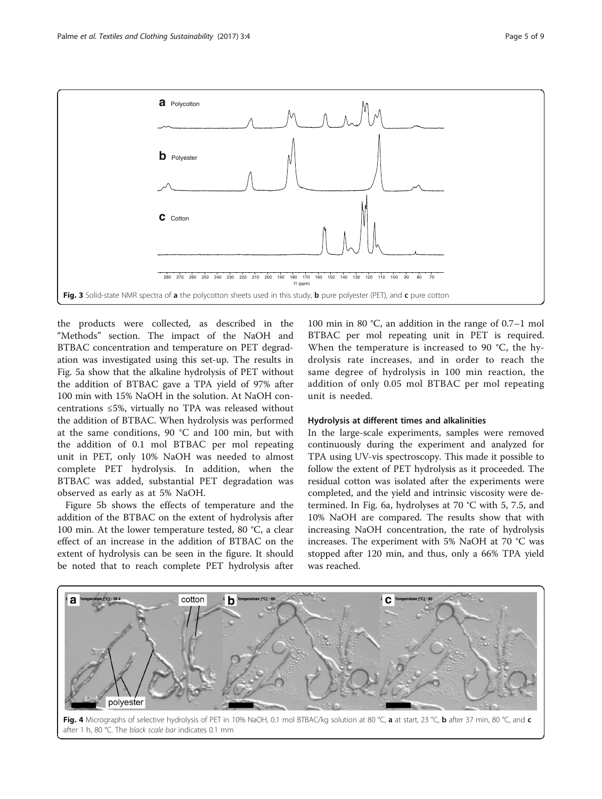<span id="page-4-0"></span>![](_page_4_Figure_2.jpeg)

the products were collected, as described in the "[Methods](#page-2-0)" section. The impact of the NaOH and BTBAC concentration and temperature on PET degradation was investigated using this set-up. The results in Fig. [5a](#page-5-0) show that the alkaline hydrolysis of PET without the addition of BTBAC gave a TPA yield of 97% after 100 min with 15% NaOH in the solution. At NaOH concentrations ≤5%, virtually no TPA was released without the addition of BTBAC. When hydrolysis was performed at the same conditions, 90 °C and 100 min, but with the addition of 0.1 mol BTBAC per mol repeating unit in PET, only 10% NaOH was needed to almost complete PET hydrolysis. In addition, when the BTBAC was added, substantial PET degradation was observed as early as at 5% NaOH.

Figure [5b](#page-5-0) shows the effects of temperature and the addition of the BTBAC on the extent of hydrolysis after 100 min. At the lower temperature tested, 80 °C, a clear effect of an increase in the addition of BTBAC on the extent of hydrolysis can be seen in the figure. It should be noted that to reach complete PET hydrolysis after 100 min in 80 °C, an addition in the range of 0.7–1 mol BTBAC per mol repeating unit in PET is required. When the temperature is increased to 90 °C, the hydrolysis rate increases, and in order to reach the same degree of hydrolysis in 100 min reaction, the addition of only 0.05 mol BTBAC per mol repeating unit is needed.

#### Hydrolysis at different times and alkalinities

In the large-scale experiments, samples were removed continuously during the experiment and analyzed for TPA using UV-vis spectroscopy. This made it possible to follow the extent of PET hydrolysis as it proceeded. The residual cotton was isolated after the experiments were completed, and the yield and intrinsic viscosity were determined. In Fig. [6a](#page-5-0), hydrolyses at 70 °C with 5, 7.5, and 10% NaOH are compared. The results show that with increasing NaOH concentration, the rate of hydrolysis increases. The experiment with 5% NaOH at 70 °C was stopped after 120 min, and thus, only a 66% TPA yield was reached.

![](_page_4_Figure_8.jpeg)

![](_page_4_Figure_9.jpeg)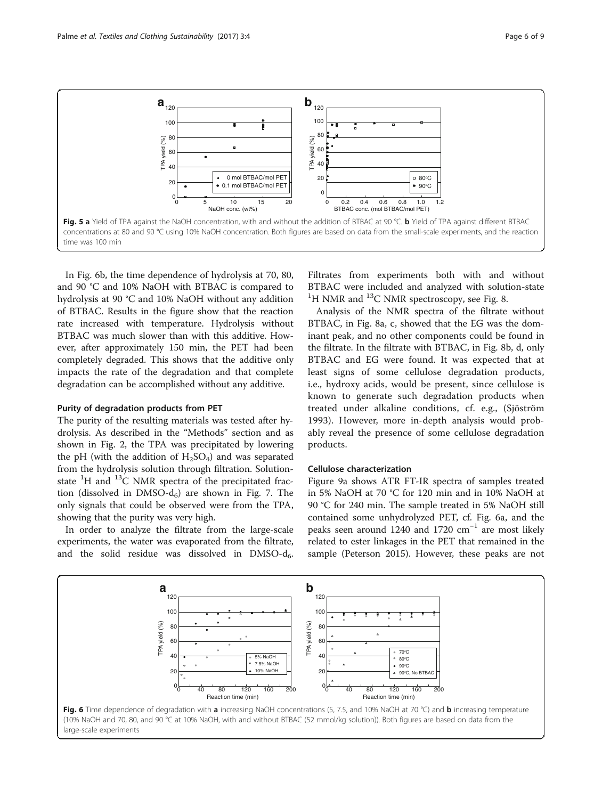<span id="page-5-0"></span>![](_page_5_Figure_2.jpeg)

In Fig. 6b, the time dependence of hydrolysis at 70, 80, and 90 °C and 10% NaOH with BTBAC is compared to hydrolysis at 90 °C and 10% NaOH without any addition of BTBAC. Results in the figure show that the reaction rate increased with temperature. Hydrolysis without BTBAC was much slower than with this additive. However, after approximately 150 min, the PET had been completely degraded. This shows that the additive only impacts the rate of the degradation and that complete degradation can be accomplished without any additive.

#### Purity of degradation products from PET

The purity of the resulting materials was tested after hydrolysis. As described in the "Methods" section and as shown in Fig. [2](#page-3-0), the TPA was precipitated by lowering the pH (with the addition of  $H_2SO_4$ ) and was separated from the hydrolysis solution through filtration. Solutionstate <sup>1</sup>H and <sup>13</sup>C NMR spectra of the precipitated fraction (dissolved in  $DMSO-d<sub>6</sub>$ ) are shown in Fig. [7.](#page-6-0) The only signals that could be observed were from the TPA, showing that the purity was very high.

In order to analyze the filtrate from the large-scale experiments, the water was evaporated from the filtrate, and the solid residue was dissolved in  $DMSO-d<sub>6</sub>$ . Filtrates from experiments both with and without BTBAC were included and analyzed with solution-state <sup>1</sup>H NMR and <sup>13</sup>C NMR spectroscopy, see Fig. [8.](#page-6-0)

Analysis of the NMR spectra of the filtrate without BTBAC, in Fig. [8a, c,](#page-6-0) showed that the EG was the dominant peak, and no other components could be found in the filtrate. In the filtrate with BTBAC, in Fig. [8b, d](#page-6-0), only BTBAC and EG were found. It was expected that at least signs of some cellulose degradation products, i.e., hydroxy acids, would be present, since cellulose is known to generate such degradation products when treated under alkaline conditions, cf. e.g., (Sjöström [1993\)](#page-8-0). However, more in-depth analysis would probably reveal the presence of some cellulose degradation products.

#### Cellulose characterization

Figure [9a](#page-7-0) shows ATR FT-IR spectra of samples treated in 5% NaOH at 70 °C for 120 min and in 10% NaOH at 90 °C for 240 min. The sample treated in 5% NaOH still contained some unhydrolyzed PET, cf. Fig. 6a, and the peaks seen around 1240 and 1720  $cm^{-1}$  are most likely related to ester linkages in the PET that remained in the sample (Peterson [2015](#page-8-0)). However, these peaks are not

![](_page_5_Figure_11.jpeg)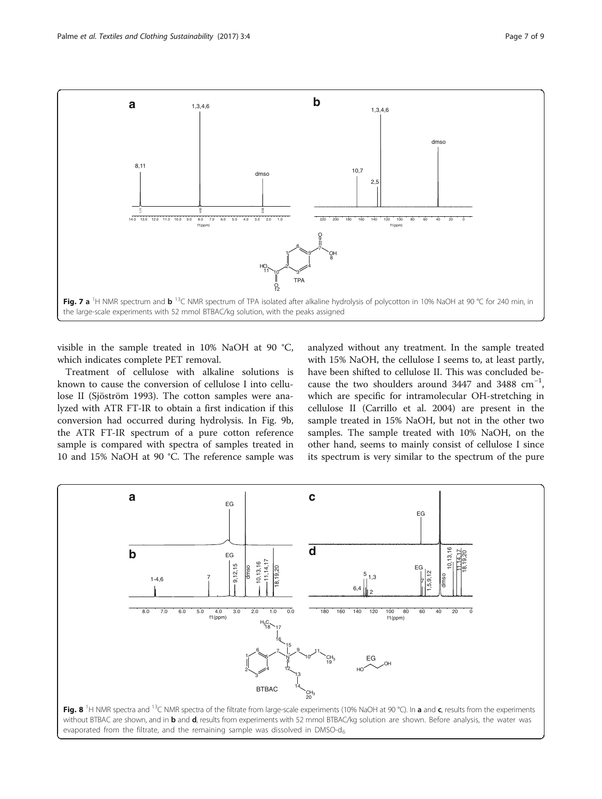<span id="page-6-0"></span>![](_page_6_Figure_2.jpeg)

visible in the sample treated in 10% NaOH at 90 °C, which indicates complete PET removal.

Treatment of cellulose with alkaline solutions is known to cause the conversion of cellulose I into cellulose II (Sjöström [1993](#page-8-0)). The cotton samples were analyzed with ATR FT-IR to obtain a first indication if this conversion had occurred during hydrolysis. In Fig. [9b](#page-7-0), the ATR FT-IR spectrum of a pure cotton reference sample is compared with spectra of samples treated in 10 and 15% NaOH at 90 °C. The reference sample was

analyzed without any treatment. In the sample treated with 15% NaOH, the cellulose I seems to, at least partly, have been shifted to cellulose II. This was concluded because the two shoulders around 3447 and 3488  $cm^{-1}$ , which are specific for intramolecular OH-stretching in cellulose II (Carrillo et al. [2004\)](#page-8-0) are present in the sample treated in 15% NaOH, but not in the other two samples. The sample treated with 10% NaOH, on the other hand, seems to mainly consist of cellulose I since its spectrum is very similar to the spectrum of the pure

![](_page_6_Figure_6.jpeg)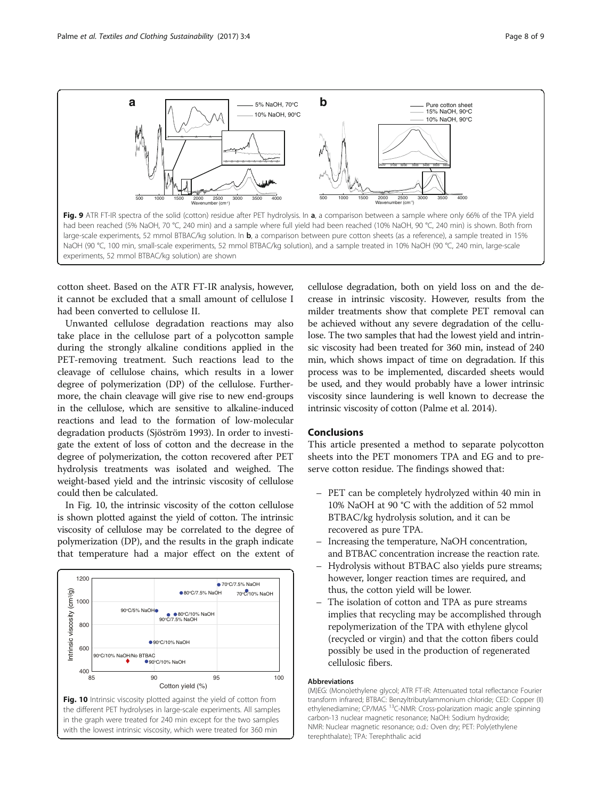<span id="page-7-0"></span>![](_page_7_Figure_2.jpeg)

cotton sheet. Based on the ATR FT-IR analysis, however, it cannot be excluded that a small amount of cellulose I had been converted to cellulose II.

Unwanted cellulose degradation reactions may also take place in the cellulose part of a polycotton sample during the strongly alkaline conditions applied in the PET-removing treatment. Such reactions lead to the cleavage of cellulose chains, which results in a lower degree of polymerization (DP) of the cellulose. Furthermore, the chain cleavage will give rise to new end-groups in the cellulose, which are sensitive to alkaline-induced reactions and lead to the formation of low-molecular degradation products (Sjöström [1993](#page-8-0)). In order to investigate the extent of loss of cotton and the decrease in the degree of polymerization, the cotton recovered after PET hydrolysis treatments was isolated and weighed. The weight-based yield and the intrinsic viscosity of cellulose could then be calculated.

In Fig. 10, the intrinsic viscosity of the cotton cellulose is shown plotted against the yield of cotton. The intrinsic viscosity of cellulose may be correlated to the degree of polymerization (DP), and the results in the graph indicate that temperature had a major effect on the extent of

![](_page_7_Figure_6.jpeg)

cellulose degradation, both on yield loss on and the decrease in intrinsic viscosity. However, results from the milder treatments show that complete PET removal can be achieved without any severe degradation of the cellulose. The two samples that had the lowest yield and intrinsic viscosity had been treated for 360 min, instead of 240 min, which shows impact of time on degradation. If this process was to be implemented, discarded sheets would be used, and they would probably have a lower intrinsic viscosity since laundering is well known to decrease the intrinsic viscosity of cotton (Palme et al. [2014](#page-8-0)).

## Conclusions

This article presented a method to separate polycotton sheets into the PET monomers TPA and EG and to preserve cotton residue. The findings showed that:

- PET can be completely hydrolyzed within 40 min in 10% NaOH at 90 °C with the addition of 52 mmol BTBAC/kg hydrolysis solution, and it can be recovered as pure TPA.
- Increasing the temperature, NaOH concentration, and BTBAC concentration increase the reaction rate.
- Hydrolysis without BTBAC also yields pure streams; however, longer reaction times are required, and thus, the cotton yield will be lower.
- The isolation of cotton and TPA as pure streams implies that recycling may be accomplished through repolymerization of the TPA with ethylene glycol (recycled or virgin) and that the cotton fibers could possibly be used in the production of regenerated cellulosic fibers.

#### Abbreviations

(M)EG: (Mono)ethylene glycol; ATR FT-IR: Attenuated total reflectance Fourier transform infrared; BTBAC: Benzyltributylammonium chloride; CED: Copper (II) ethylenediamine; CP/MAS<sup>13</sup>C-NMR: Cross-polarization magic angle spinning carbon-13 nuclear magnetic resonance; NaOH: Sodium hydroxide; NMR: Nuclear magnetic resonance; o.d.: Oven dry; PET: Poly(ethylene terephthalate); TPA: Terephthalic acid